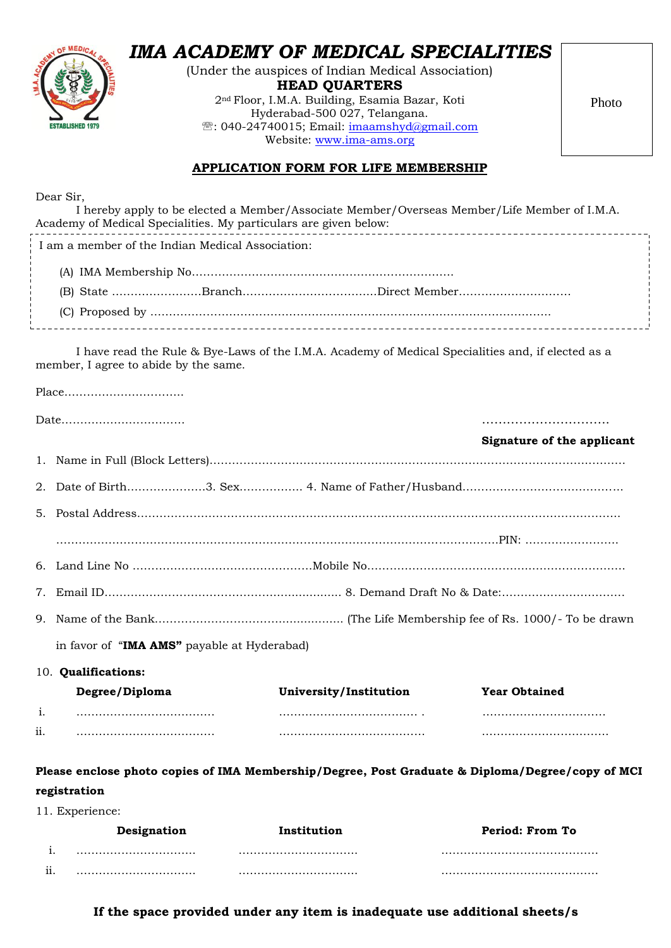

## *IMA ACADEMY OF MEDICAL SPECIALITIES*

(Under the auspices of Indian Medical Association) **HEAD QUARTERS**

2nd Floor, I.M.A. Building, Esamia Bazar, Koti Hyderabad-500 027, Telangana. <sup></sup>: 040-24740015; Email: [imaamshyd@gmail.com](mailto:imaamshyd@gmail.com) Website: [www.ima-ams.org](http://www.ima-ams.org/)

Photo

## **APPLICATION FORM FOR LIFE MEMBERSHIP**

Dear Sir,

| Academy of Medical Specialities. My particulars are given below:                                 | I hereby apply to be elected a Member/Associate Member/Overseas Member/Life Member of I.M.A.       |                            |
|--------------------------------------------------------------------------------------------------|----------------------------------------------------------------------------------------------------|----------------------------|
| I am a member of the Indian Medical Association:                                                 |                                                                                                    |                            |
|                                                                                                  |                                                                                                    |                            |
|                                                                                                  |                                                                                                    |                            |
|                                                                                                  |                                                                                                    |                            |
| member, I agree to abide by the same.                                                            | I have read the Rule & Bye-Laws of the I.M.A. Academy of Medical Specialities and, if elected as a |                            |
|                                                                                                  |                                                                                                    |                            |
|                                                                                                  |                                                                                                    |                            |
|                                                                                                  |                                                                                                    | Signature of the applicant |
|                                                                                                  |                                                                                                    |                            |
|                                                                                                  |                                                                                                    |                            |
|                                                                                                  |                                                                                                    |                            |
|                                                                                                  |                                                                                                    |                            |
|                                                                                                  |                                                                                                    |                            |
| 7.                                                                                               |                                                                                                    |                            |
|                                                                                                  |                                                                                                    |                            |
| in favor of "IMA AMS" payable at Hyderabad)                                                      |                                                                                                    |                            |
| 10. Qualifications:                                                                              |                                                                                                    |                            |
| Degree/Diploma                                                                                   | University/Institution                                                                             | <b>Year Obtained</b>       |
| i.                                                                                               |                                                                                                    |                            |
| 11.                                                                                              |                                                                                                    |                            |
| Please enclose photo copies of IMA Membership/Degree, Post Graduate & Diploma/Degree/copy of MCI |                                                                                                    |                            |
| registration                                                                                     |                                                                                                    |                            |
| 11. Experience:                                                                                  |                                                                                                    |                            |

|            | Designation | Institution | Period: From To |
|------------|-------------|-------------|-----------------|
|            |             |             |                 |
| . .<br>11. |             |             |                 |

**If the space provided under any item is inadequate use additional sheets/s**